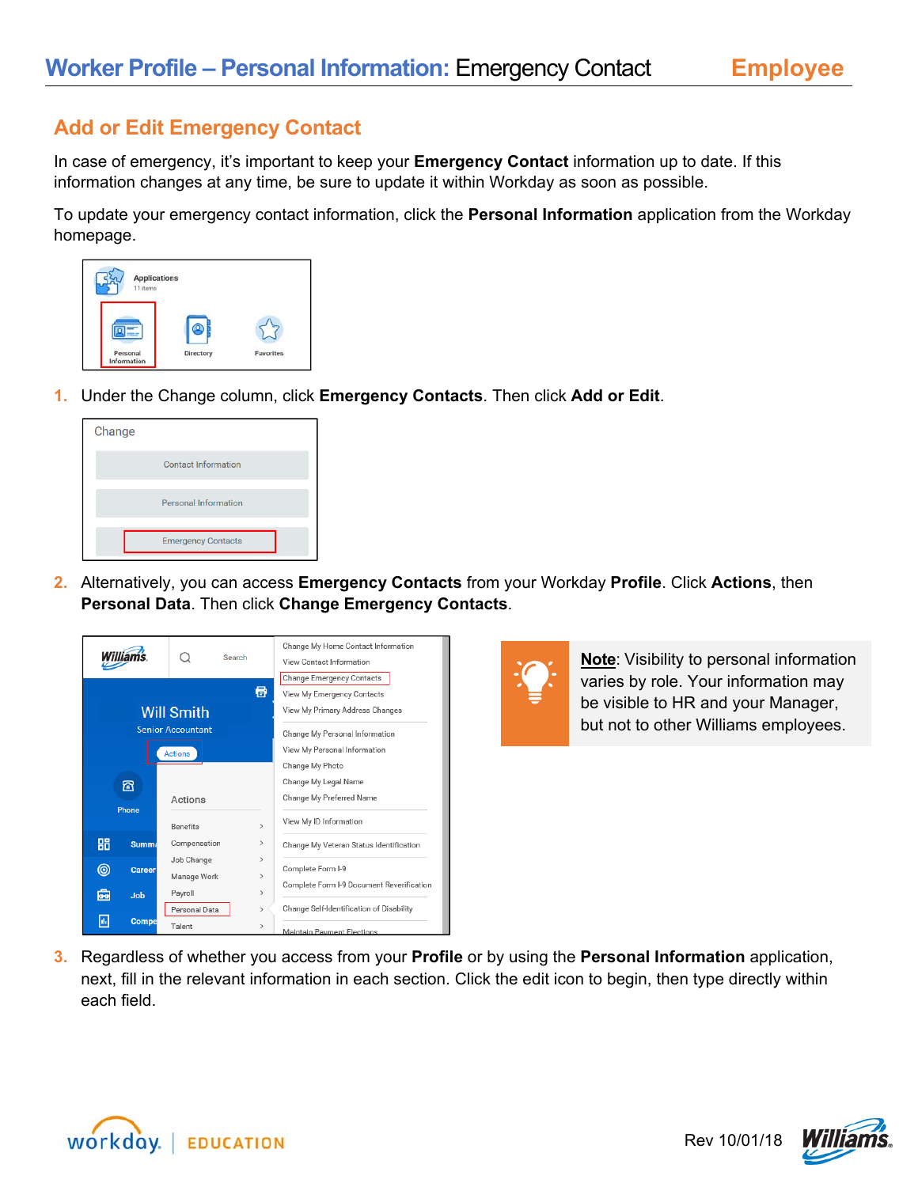## **Add or Edit Emergency Contact**

In case of emergency, it's important to keep your **Emergency Contact** information up to date. If this information changes at any time, be sure to update it within Workday as soon as possible.

To update your emergency contact information, click the **Personal Information** application from the Workday homepage.



**1.** Under the Change column, click **Emergency Contacts**. Then click **Add or Edit**.



**2.** Alternatively, you can access **Emergency Contacts** from your Workday **Profile**. Click **Actions**, then **Personal Data**. Then click **Change Emergency Contacts**.





**Note**: Visibility to personal information varies by role. Your information may be visible to HR and your Manager, but not to other Williams employees.

**3.** Regardless of whether you access from your **Profile** or by using the **Personal Information** application, next, fill in the relevant information in each section. Click the edit icon to begin, then type directly within each field.



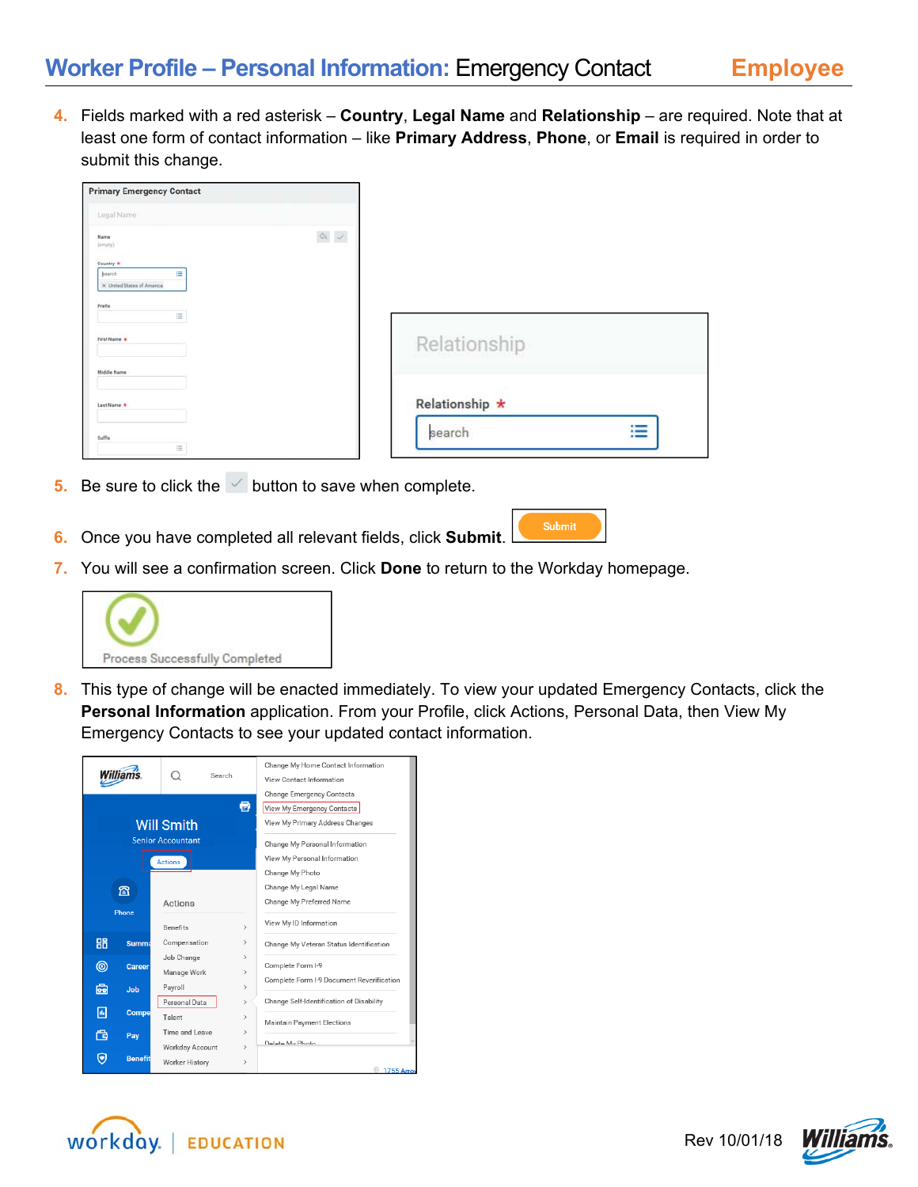**4.** Fields marked with a red asterisk – **Country**, **Legal Name** and **Relationship** – are required. Note that at least one form of contact information – like **Primary Address**, **Phone**, or **Email** is required in order to submit this change.

| <b>Primary Emergency Contact</b>          |                                                        |                |                               |
|-------------------------------------------|--------------------------------------------------------|----------------|-------------------------------|
| Legal Name                                |                                                        |                |                               |
| Name<br>$(m + 1)$                         | $\begin{array}{c} \circ \\ \circ \\ \circ \end{array}$ |                |                               |
| Country *                                 |                                                        |                |                               |
| 崖<br>hearch<br>X United States of America |                                                        |                |                               |
|                                           |                                                        |                |                               |
| Prefix<br>讍                               |                                                        |                |                               |
| First Name *                              |                                                        |                |                               |
|                                           |                                                        | Relationship   |                               |
| Middle Name                               |                                                        |                |                               |
| Last Name *                               |                                                        | Relationship * |                               |
|                                           |                                                        |                |                               |
| Suffix                                    |                                                        | search         | i<br>$\overline{\phantom{a}}$ |
| 震                                         |                                                        |                |                               |

- **5.** Be sure to click the  $\leq$  button to save when complete.
- **6.** Once you have completed all relevant fields, click **Submit**.
- **7.** You will see a confirmation screen. Click **Done** to return to the Workday homepage.



**8.** This type of change will be enacted immediately. To view your updated Emergency Contacts, click the **Personal Information** application. From your Profile, click Actions, Personal Data, then View My Emergency Contacts to see your updated contact information.

Submit